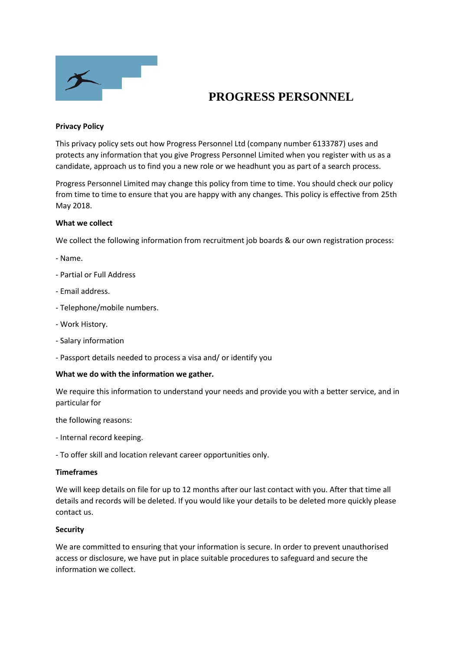

# **PROGRESS PERSONNEL**

## **Privacy Policy**

This privacy policy sets out how Progress Personnel Ltd (company number 6133787) uses and protects any information that you give Progress Personnel Limited when you register with us as a candidate, approach us to find you a new role or we headhunt you as part of a search process.

Progress Personnel Limited may change this policy from time to time. You should check our policy from time to time to ensure that you are happy with any changes. This policy is effective from 25th May 2018.

### **What we collect**

We collect the following information from recruitment job boards & our own registration process:

- Name.
- Partial or Full Address
- Email address.
- Telephone/mobile numbers.
- Work History.
- Salary information
- Passport details needed to process a visa and/ or identify you

### **What we do with the information we gather.**

We require this information to understand your needs and provide you with a better service, and in particular for

the following reasons:

- Internal record keeping.
- To offer skill and location relevant career opportunities only.

### **Timeframes**

We will keep details on file for up to 12 months after our last contact with you. After that time all details and records will be deleted. If you would like your details to be deleted more quickly please contact us.

### **Security**

We are committed to ensuring that your information is secure. In order to prevent unauthorised access or disclosure, we have put in place suitable procedures to safeguard and secure the information we collect.